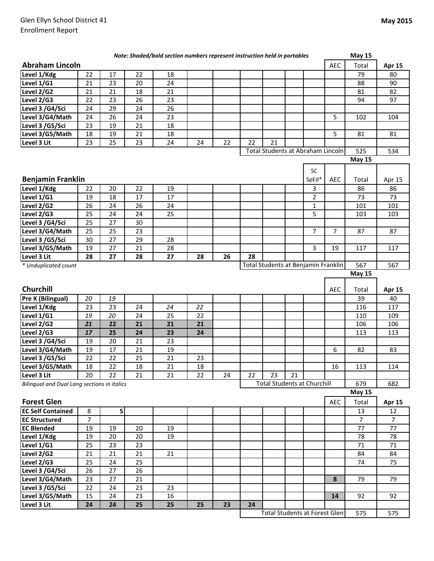|                                             |                |    |    | Note: Shaded/bold section numbers represent instruction held in portables |    |    |    |                                      |    |                |            | <b>May 15</b>  |                |
|---------------------------------------------|----------------|----|----|---------------------------------------------------------------------------|----|----|----|--------------------------------------|----|----------------|------------|----------------|----------------|
| <b>Abraham Lincoln</b>                      |                |    |    |                                                                           |    |    |    |                                      |    |                | <b>AEC</b> | Total          | Apr 15         |
| Level 1/Kdg                                 | 22             | 17 | 22 | 18                                                                        |    |    |    |                                      |    |                |            | 79             | 80             |
| Level 1/G1                                  | 21             | 23 | 20 | 24                                                                        |    |    |    |                                      |    |                |            | 88             | 90             |
| Level 2/G2                                  | 21             | 21 | 18 | 21                                                                        |    |    |    |                                      |    |                |            | 81             | 82             |
| Level 2/G3                                  | 22             | 23 | 26 | 23                                                                        |    |    |    |                                      |    |                |            | 94             | 97             |
| Level 3 /G4/Sci                             | 24             | 29 | 24 | 26                                                                        |    |    |    |                                      |    |                |            |                |                |
| Level 3/G4/Math                             | 24             | 26 | 24 | 23                                                                        |    |    |    |                                      |    |                | 5          | 102            | 104            |
| Level 3 /G5/Sci                             | 23             | 19 | 21 | 18                                                                        |    |    |    |                                      |    |                |            |                |                |
| Level 3/G5/Math                             | 18             | 19 | 21 | 18                                                                        |    |    |    |                                      |    |                | 5          | 81             | 81             |
| Level 3 Lit                                 | 23             | 25 | 23 | 24                                                                        | 24 | 22 | 22 | 21                                   |    |                |            |                |                |
|                                             |                |    |    |                                                                           |    |    |    | Total Students at Abraham Lincoln    |    |                |            | 525            | 534            |
|                                             |                |    |    |                                                                           |    |    |    |                                      |    |                |            | <b>May 15</b>  |                |
|                                             |                |    |    |                                                                           |    |    |    |                                      |    | <b>SC</b>      |            |                |                |
| <b>Benjamin Franklin</b>                    |                |    |    |                                                                           |    |    |    |                                      |    | SpEd*          | AEC        | Total          | Apr 15         |
| Level 1/Kdg                                 | 22             | 20 | 22 | 19                                                                        |    |    |    |                                      |    | 3              |            | 86             | 86             |
| Level 1/G1                                  | 19             | 18 | 17 | 17                                                                        |    |    |    |                                      |    | $\overline{2}$ |            | 73             | 73             |
| Level 2/G2                                  | 26             | 24 | 26 | 24                                                                        |    |    |    |                                      |    | $\mathbf{1}$   |            | 101            | 101            |
| Level 2/G3                                  | 25             | 24 | 24 | 25                                                                        |    |    |    |                                      |    | 5              |            | 103            | 103            |
| Level 3 /G4/Sci                             | 25             | 27 | 30 |                                                                           |    |    |    |                                      |    |                |            |                |                |
| Level 3/G4/Math                             | 25             | 25 | 23 |                                                                           |    |    |    |                                      |    | 7              | 7          | 87             | 87             |
| Level 3 /G5/Sci                             | 30             | 27 | 29 | 28                                                                        |    |    |    |                                      |    |                |            |                |                |
| Level 3/G5/Math                             | 19             | 27 | 21 | 28                                                                        |    |    |    |                                      |    | 3              | 19         | 117            | 117            |
| Level 3 Lit                                 | 28             | 27 | 28 | 27                                                                        | 28 | 26 | 28 |                                      |    |                |            |                |                |
| * Unduplicated count                        |                |    |    |                                                                           |    |    |    | Total Students at Benjamin Franklin  |    |                |            | 567            | 567            |
|                                             |                |    |    |                                                                           |    |    |    |                                      |    |                |            | <b>May 15</b>  |                |
|                                             |                |    |    |                                                                           |    |    |    |                                      |    |                |            |                |                |
| Churchill                                   |                |    |    |                                                                           |    |    |    |                                      |    |                | <b>AEC</b> | Total          | <b>Apr 15</b>  |
| Pre K (Bilingual)                           | 20             | 19 |    |                                                                           |    |    |    |                                      |    |                |            | 39             | 40             |
| Level 1/Kdg                                 | 23             | 23 | 24 | 24                                                                        | 22 |    |    |                                      |    |                |            | 116            | 117            |
| Level 1/G1                                  | 19             | 20 | 24 | 25                                                                        | 22 |    |    |                                      |    |                |            | 110            | 109            |
| Level 2/G2                                  | 21             |    |    |                                                                           |    |    |    |                                      |    |                |            |                |                |
|                                             |                | 22 | 21 | 21                                                                        | 21 |    |    |                                      |    |                |            | 106            | 106            |
| Level 2/G3                                  | 17             | 25 | 24 | 23                                                                        | 24 |    |    |                                      |    |                |            | 113            | 113            |
| Level 3 /G4/Sci                             | 19             | 20 | 21 | 23                                                                        |    |    |    |                                      |    |                |            |                |                |
| Level 3/G4/Math                             | 19             | 17 | 21 | 19                                                                        |    |    |    |                                      |    |                | 6          | 82             | 83             |
| Level 3 / G5/Sci                            | 22             | 22 | 25 | 21                                                                        | 23 |    |    |                                      |    |                |            |                |                |
| Level 3/G5/Math                             | 18             | 22 | 18 | 21                                                                        | 18 |    |    |                                      |    |                | 16         | 113            | 114            |
| Level 3 Lit                                 | 20             | 22 | 21 | 21                                                                        | 22 | 24 | 22 | 23                                   | 21 |                |            |                |                |
| Bilingual and Dual Lang sections in italics |                |    |    |                                                                           |    |    |    | <b>Total Students at Churchill</b>   |    |                |            | 679            | 682            |
|                                             |                |    |    |                                                                           |    |    |    |                                      |    |                |            | <b>May 15</b>  |                |
| <b>Forest Glen</b>                          |                |    |    |                                                                           |    |    |    |                                      |    |                | <b>AEC</b> | Total          | <b>Apr 15</b>  |
| <b>EC Self Contained</b>                    | 8              | 5  |    |                                                                           |    |    |    |                                      |    |                |            | 13             | 12             |
| <b>EC Structured</b>                        | $\overline{7}$ |    |    |                                                                           |    |    |    |                                      |    |                |            | $\overline{7}$ | $\overline{7}$ |
| <b>EC Blended</b>                           | 19             | 19 | 20 | 19                                                                        |    |    |    |                                      |    |                |            | 77             | 77             |
| Level 1/Kdg                                 | 19             | 20 | 20 | 19                                                                        |    |    |    |                                      |    |                |            | 78             | 78             |
| Level 1/G1                                  | 25             | 23 | 23 |                                                                           |    |    |    |                                      |    |                |            | 71             | $71\,$         |
| Level 2/G2                                  | 21             | 21 | 21 | 21                                                                        |    |    |    |                                      |    |                |            | 84             | 84             |
| Level 2/G3                                  | 25             | 24 | 25 |                                                                           |    |    |    |                                      |    |                |            | 74             | 75             |
| Level 3 /G4/Sci                             | 26             | 27 | 26 |                                                                           |    |    |    |                                      |    |                |            |                |                |
| Level 3/G4/Math                             | 23             | 27 | 21 |                                                                           |    |    |    |                                      |    |                | 8          | 79             | 79             |
| Level 3 /G5/Sci                             | 22             | 24 | 23 | 23                                                                        |    |    |    |                                      |    |                |            |                |                |
| Level 3/G5/Math                             | 15             | 24 | 23 | 16                                                                        |    |    |    |                                      |    |                | 14         | 92             | 92             |
| Level 3 Lit                                 | 24             | 24 | 25 | 25                                                                        | 25 | 23 | 24 | <b>Total Students at Forest Glen</b> |    |                |            | 575            | 575            |